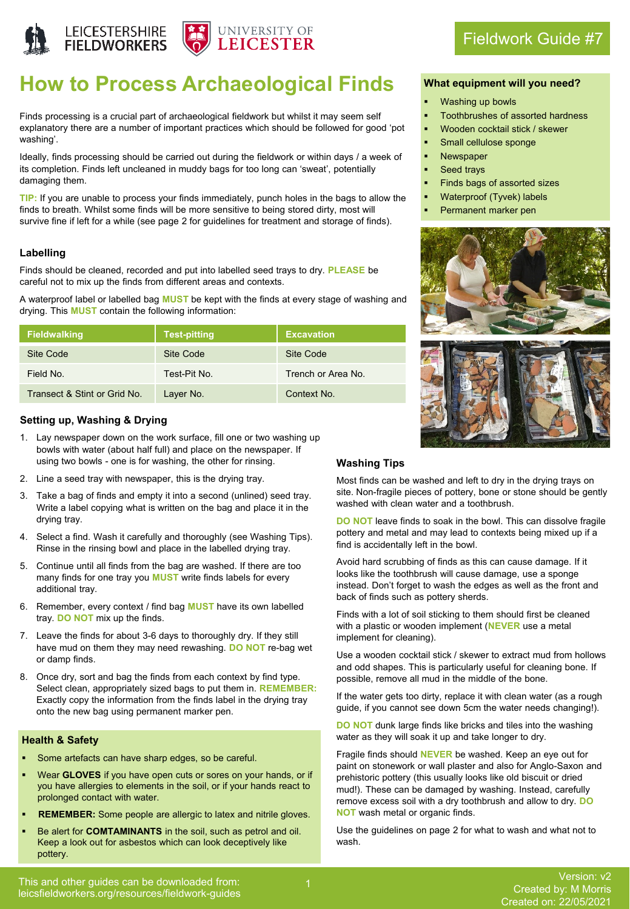



# **How to Process Archaeological Finds**

Finds processing is a crucial part of archaeological fieldwork but whilst it may seem self explanatory there are a number of important practices which should be followed for good 'pot washing'.

Ideally, finds processing should be carried out during the fieldwork or within days / a week of its completion. Finds left uncleaned in muddy bags for too long can 'sweat', potentially damaging them.

**TIP:** If you are unable to process your finds immediately, punch holes in the bags to allow the finds to breath. Whilst some finds will be more sensitive to being stored dirty, most will survive fine if left for a while (see page 2 for guidelines for treatment and storage of finds).

#### **Labelling**

Finds should be cleaned, recorded and put into labelled seed trays to dry. **PLEASE** be careful not to mix up the finds from different areas and contexts.

A waterproof label or labelled bag **MUST** be kept with the finds at every stage of washing and drying. This **MUST** contain the following information:

| <b>Fieldwalking</b>          | <b>Test-pitting</b> | <b>Excavation</b> |
|------------------------------|---------------------|-------------------|
| Site Code                    | Site Code           | Site Code         |
| Field No.                    | Test-Pit No.        | Trench or Area No |
| Transect & Stint or Grid No. | Layer No.           | Context No.       |

#### **Setting up, Washing & Drying**

- 1. Lay newspaper down on the work surface, fill one or two washing up bowls with water (about half full) and place on the newspaper. If using two bowls - one is for washing, the other for rinsing.
- 2. Line a seed tray with newspaper, this is the drying tray.
- 3. Take a bag of finds and empty it into a second (unlined) seed tray. Write a label copying what is written on the bag and place it in the drying tray.
- 4. Select a find. Wash it carefully and thoroughly (see Washing Tips). Rinse in the rinsing bowl and place in the labelled drying tray.
- 5. Continue until all finds from the bag are washed. If there are too many finds for one tray you **MUST** write finds labels for every additional tray.
- 6. Remember, every context / find bag **MUST** have its own labelled tray. **DO NOT** mix up the finds.
- 7. Leave the finds for about 3-6 days to thoroughly dry. If they still have mud on them they may need rewashing. **DO NOT** re-bag wet or damp finds.
- 8. Once dry, sort and bag the finds from each context by find type. Select clean, appropriately sized bags to put them in. **REMEMBER:**  Exactly copy the information from the finds label in the drying tray onto the new bag using permanent marker pen.

#### **Health & Safety**

- Some artefacts can have sharp edges, so be careful.
- Wear **GLOVES** if you have open cuts or sores on your hands, or if you have allergies to elements in the soil, or if your hands react to prolonged contact with water.
- **REMEMBER:** Some people are allergic to latex and nitrile gloves.
- Be alert for **COMTAMINANTS** in the soil, such as petrol and oil. Keep a look out for asbestos which can look deceptively like pottery.

## **What equipment will you need?**

Fieldwork Guide #7

- Washing up bowls
- Toothbrushes of assorted hardness
- Wooden cocktail stick / skewer
- Small cellulose sponge
- **Newspaper**
- Seed trays
- Finds bags of assorted sizes
- Waterproof (Tyvek) labels
- Permanent marker pen





#### **Washing Tips**

Most finds can be washed and left to dry in the drying trays on site. Non-fragile pieces of pottery, bone or stone should be gently washed with clean water and a toothbrush.

**DO NOT** leave finds to soak in the bowl. This can dissolve fragile pottery and metal and may lead to contexts being mixed up if a find is accidentally left in the bowl.

Avoid hard scrubbing of finds as this can cause damage. If it looks like the toothbrush will cause damage, use a sponge instead. Don't forget to wash the edges as well as the front and back of finds such as pottery sherds.

Finds with a lot of soil sticking to them should first be cleaned with a plastic or wooden implement (**NEVER** use a metal implement for cleaning).

Use a wooden cocktail stick / skewer to extract mud from hollows and odd shapes. This is particularly useful for cleaning bone. If possible, remove all mud in the middle of the bone.

If the water gets too dirty, replace it with clean water (as a rough guide, if you cannot see down 5cm the water needs changing!).

**DO NOT** dunk large finds like bricks and tiles into the washing water as they will soak it up and take longer to dry.

Fragile finds should **NEVER** be washed. Keep an eye out for paint on stonework or wall plaster and also for Anglo-Saxon and prehistoric pottery (this usually looks like old biscuit or dried mud!). These can be damaged by washing. Instead, carefully remove excess soil with a dry toothbrush and allow to dry. **DO NOT** wash metal or organic finds.

Use the guidelines on page 2 for what to wash and what not to wash.